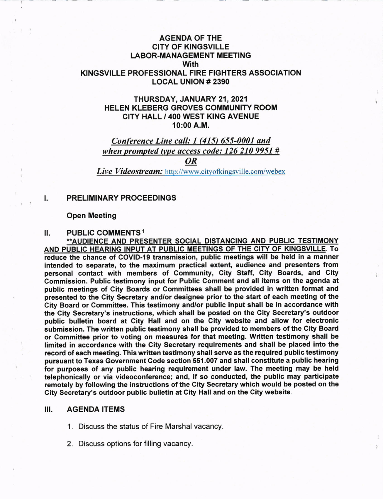## AGENDA OF THE **CITY OF KINGSVILLE** LABOR-MANAGEMENT MEETING with KINGSVILLE PROFESSIONAL FIRE FIGHTERS ASSOCIATION LOCAL UNION # 2390

THURSDAY, JANUARY 21, 2021 HELEN KLEBERG GROVES COMMUNITY ROOM CITY HALL / 4OO WEST KING AVENUE '10:00 A.M.

# Conference Line call: I (415) 655-0001 and when prompted type access code:  $126 210 9951$ # OR

Live Videostream: http://www.city of kingsville.com/webex

I. PRELIMINARY PROCEEDINGS

### Open Meeting

## II. PUBLIC COMMENTS <sup>1</sup>

\*\*AUDIENCE AND PRESENTER SOCIAL DISTANCING AND PUBLIC TESTIMONY AND PUBLIC HEARING INPUT AT PUBLIC MEETINGS OF THE CITY OF KINGSVILLE. To reduce the chance of COVID-19 transmission, public meetings will be held in a manner intended to separate, to the maximum practical extent, audience and presenters from personal contact with members of Community, City Staff, City Boards, and City Commission. Public testimony input for Public Comment and all items on the agenda at public meetings of City Boards or Gommittees shall be provided in written format and presented to the City Secretary and/or designee prior to the start of each meeting of the City Board or Committee. This testimony and/or public input shall be in accordance with the City Secretary's instructions, which shall be posted on the City Secretary's outdoor public bulletin board at City Hall and on the City website and allow for electronic submission. The written public testimony shall be provided to members of the City Board or Committee prior to voting on measures for that meeting. Written testimony shall be limited in accordance with the City Secretary requirements and shall be placed into the record of each meeting. This written testimony shall serve as the required public testimony pursuant to Texas Government Code section 551.007 and shall constitute a public hearing for purposes of any public hearing requirement under law. The meeting may be held telephonically or via videoconference; and, if so conducted, the public may participate remotely by following the instructions of the Gity Secretary which would be posted on the City Secretary's outdoor public bulletin at City Hall and on the City website.

### III. AGENDA ITEMS

- 1. Discuss the status of Fire Marshal vacancy.
- 2. Discuss options for filling vacancy.